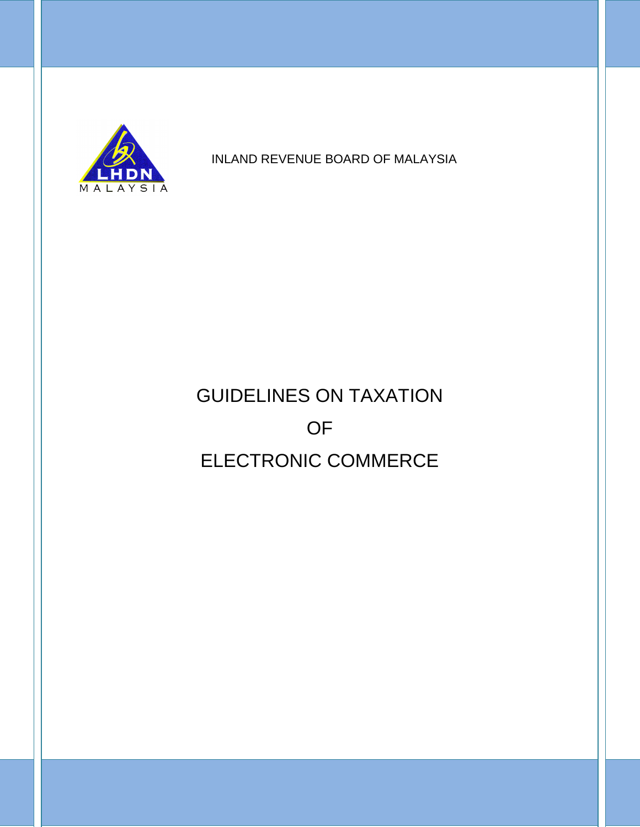

INLAND REVENUE BOARD OF MALAYSIA

# GUIDELINES ON TAXATION OF ELECTRONIC COMMERCE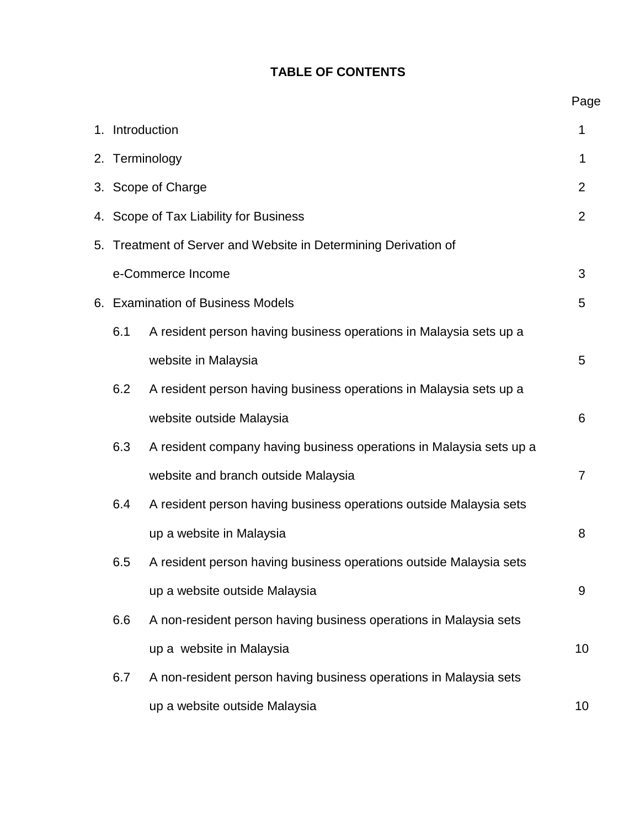# **TABLE OF CONTENTS**

|                                                                    |                                                                           | 1. Introduction                                                     |    |  |  |  |  |  |
|--------------------------------------------------------------------|---------------------------------------------------------------------------|---------------------------------------------------------------------|----|--|--|--|--|--|
|                                                                    |                                                                           | 2. Terminology                                                      |    |  |  |  |  |  |
|                                                                    |                                                                           | 3. Scope of Charge                                                  |    |  |  |  |  |  |
| 4.                                                                 |                                                                           | Scope of Tax Liability for Business                                 |    |  |  |  |  |  |
| Treatment of Server and Website in Determining Derivation of<br>5. |                                                                           |                                                                     |    |  |  |  |  |  |
| e-Commerce Income                                                  |                                                                           |                                                                     |    |  |  |  |  |  |
|                                                                    | 6. Examination of Business Models                                         | 5                                                                   |    |  |  |  |  |  |
|                                                                    | 6.1                                                                       | A resident person having business operations in Malaysia sets up a  |    |  |  |  |  |  |
|                                                                    |                                                                           | website in Malaysia                                                 | 5  |  |  |  |  |  |
|                                                                    | 6.2                                                                       | A resident person having business operations in Malaysia sets up a  |    |  |  |  |  |  |
|                                                                    |                                                                           | website outside Malaysia                                            | 6  |  |  |  |  |  |
|                                                                    | 6.3                                                                       | A resident company having business operations in Malaysia sets up a |    |  |  |  |  |  |
|                                                                    | website and branch outside Malaysia                                       |                                                                     |    |  |  |  |  |  |
|                                                                    | 6.4<br>A resident person having business operations outside Malaysia sets |                                                                     |    |  |  |  |  |  |
| up a website in Malaysia                                           |                                                                           |                                                                     |    |  |  |  |  |  |
|                                                                    | 6.5<br>A resident person having business operations outside Malaysia sets |                                                                     |    |  |  |  |  |  |
|                                                                    | up a website outside Malaysia                                             | 9                                                                   |    |  |  |  |  |  |
|                                                                    | A non-resident person having business operations in Malaysia sets         |                                                                     |    |  |  |  |  |  |
|                                                                    | up a website in Malaysia                                                  |                                                                     |    |  |  |  |  |  |
|                                                                    | 6.7                                                                       | A non-resident person having business operations in Malaysia sets   |    |  |  |  |  |  |
|                                                                    |                                                                           | up a website outside Malaysia                                       | 10 |  |  |  |  |  |

Page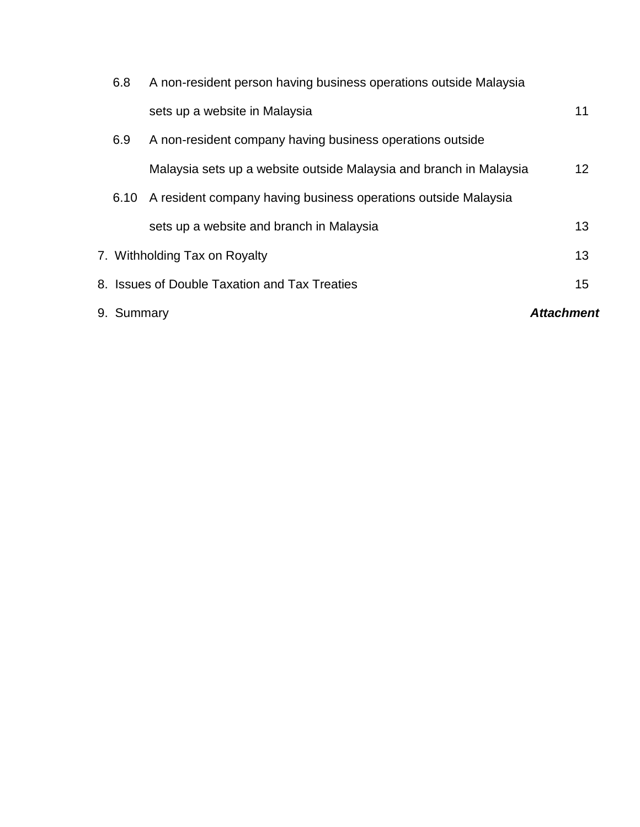| 9. Summary |                                                                    |  |    |  |  |  |
|------------|--------------------------------------------------------------------|--|----|--|--|--|
|            | 8. Issues of Double Taxation and Tax Treaties                      |  | 15 |  |  |  |
|            | 7. Withholding Tax on Royalty                                      |  | 13 |  |  |  |
|            | sets up a website and branch in Malaysia                           |  | 13 |  |  |  |
| 6.10       | A resident company having business operations outside Malaysia     |  |    |  |  |  |
|            | Malaysia sets up a website outside Malaysia and branch in Malaysia |  | 12 |  |  |  |
| 6.9        | A non-resident company having business operations outside          |  |    |  |  |  |
|            | sets up a website in Malaysia                                      |  | 11 |  |  |  |
| 6.8        | A non-resident person having business operations outside Malaysia  |  |    |  |  |  |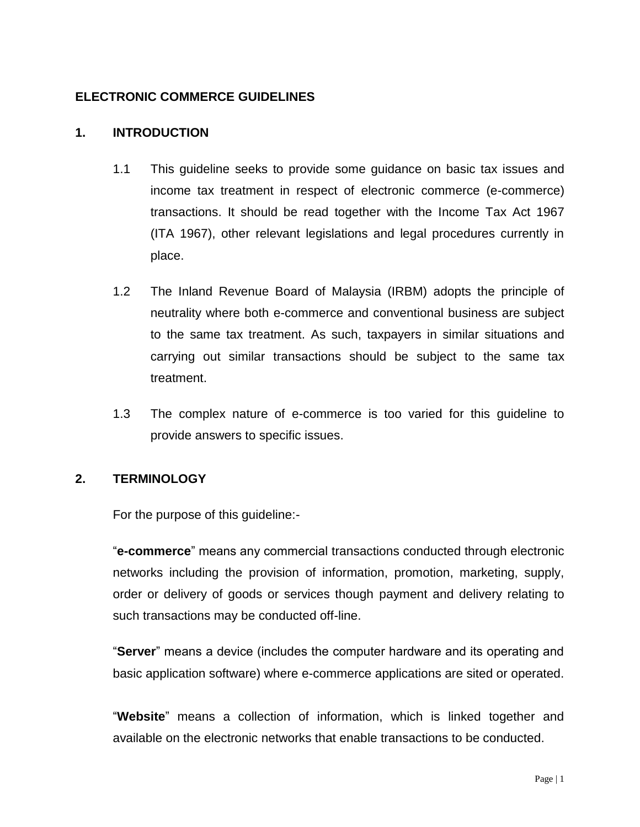# **ELECTRONIC COMMERCE GUIDELINES**

#### **1. INTRODUCTION**

- 1.1 This guideline seeks to provide some guidance on basic tax issues and income tax treatment in respect of electronic commerce (e-commerce) transactions. It should be read together with the Income Tax Act 1967 (ITA 1967), other relevant legislations and legal procedures currently in place.
- 1.2 The Inland Revenue Board of Malaysia (IRBM) adopts the principle of neutrality where both e-commerce and conventional business are subject to the same tax treatment. As such, taxpayers in similar situations and carrying out similar transactions should be subject to the same tax treatment.
- 1.3 The complex nature of e-commerce is too varied for this guideline to provide answers to specific issues.

#### **2. TERMINOLOGY**

For the purpose of this guideline:-

"**e-commerce**" means any commercial transactions conducted through electronic networks including the provision of information, promotion, marketing, supply, order or delivery of goods or services though payment and delivery relating to such transactions may be conducted off-line.

"**Server**" means a device (includes the computer hardware and its operating and basic application software) where e-commerce applications are sited or operated.

"**Website**" means a collection of information, which is linked together and available on the electronic networks that enable transactions to be conducted.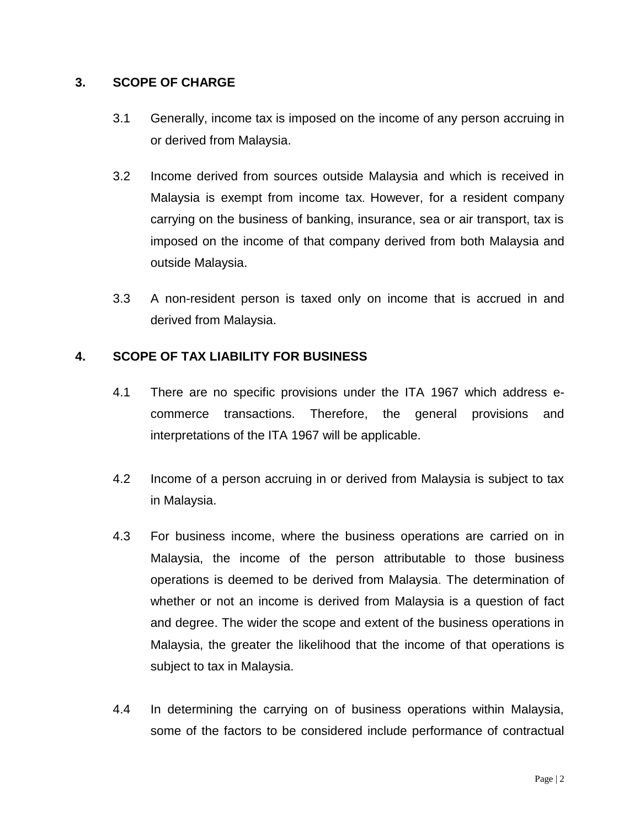### **3. SCOPE OF CHARGE**

- 3.1 Generally, income tax is imposed on the income of any person accruing in or derived from Malaysia.
- 3.2 Income derived from sources outside Malaysia and which is received in Malaysia is exempt from income tax. However, for a resident company carrying on the business of banking, insurance, sea or air transport, tax is imposed on the income of that company derived from both Malaysia and outside Malaysia.
- 3.3 A non-resident person is taxed only on income that is accrued in and derived from Malaysia.

# **4. SCOPE OF TAX LIABILITY FOR BUSINESS**

- 4.1 There are no specific provisions under the ITA 1967 which address ecommerce transactions. Therefore, the general provisions and interpretations of the ITA 1967 will be applicable.
- 4.2 Income of a person accruing in or derived from Malaysia is subject to tax in Malaysia.
- 4.3 For business income, where the business operations are carried on in Malaysia, the income of the person attributable to those business operations is deemed to be derived from Malaysia. The determination of whether or not an income is derived from Malaysia is a question of fact and degree. The wider the scope and extent of the business operations in Malaysia, the greater the likelihood that the income of that operations is subject to tax in Malaysia.
- 4.4 In determining the carrying on of business operations within Malaysia, some of the factors to be considered include performance of contractual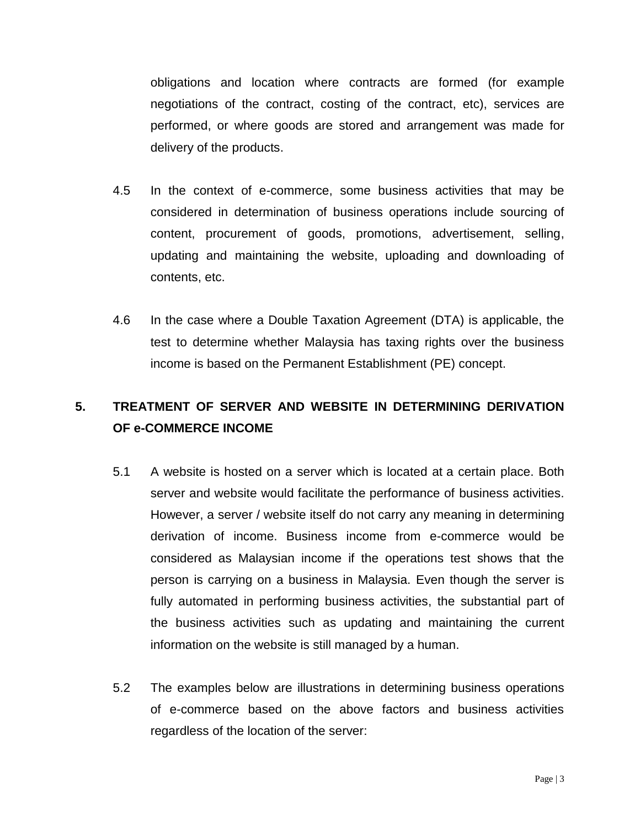obligations and location where contracts are formed (for example negotiations of the contract, costing of the contract, etc), services are performed, or where goods are stored and arrangement was made for delivery of the products.

- 4.5 In the context of e-commerce, some business activities that may be considered in determination of business operations include sourcing of content, procurement of goods, promotions, advertisement, selling, updating and maintaining the website, uploading and downloading of contents, etc.
- 4.6 In the case where a Double Taxation Agreement (DTA) is applicable, the test to determine whether Malaysia has taxing rights over the business income is based on the Permanent Establishment (PE) concept.

# **5. TREATMENT OF SERVER AND WEBSITE IN DETERMINING DERIVATION OF e-COMMERCE INCOME**

- 5.1 A website is hosted on a server which is located at a certain place. Both server and website would facilitate the performance of business activities. However, a server / website itself do not carry any meaning in determining derivation of income. Business income from e-commerce would be considered as Malaysian income if the operations test shows that the person is carrying on a business in Malaysia. Even though the server is fully automated in performing business activities, the substantial part of the business activities such as updating and maintaining the current information on the website is still managed by a human.
- 5.2 The examples below are illustrations in determining business operations of e-commerce based on the above factors and business activities regardless of the location of the server: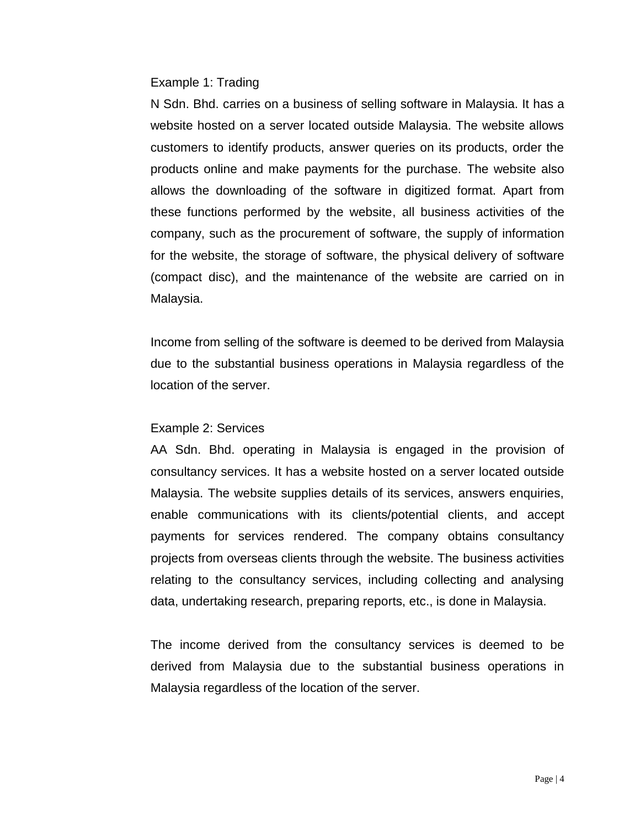#### Example 1: Trading

N Sdn. Bhd. carries on a business of selling software in Malaysia. It has a website hosted on a server located outside Malaysia. The website allows customers to identify products, answer queries on its products, order the products online and make payments for the purchase. The website also allows the downloading of the software in digitized format. Apart from these functions performed by the website, all business activities of the company, such as the procurement of software, the supply of information for the website, the storage of software, the physical delivery of software (compact disc), and the maintenance of the website are carried on in Malaysia.

Income from selling of the software is deemed to be derived from Malaysia due to the substantial business operations in Malaysia regardless of the location of the server.

#### Example 2: Services

AA Sdn. Bhd. operating in Malaysia is engaged in the provision of consultancy services. It has a website hosted on a server located outside Malaysia. The website supplies details of its services, answers enquiries, enable communications with its clients/potential clients, and accept payments for services rendered. The company obtains consultancy projects from overseas clients through the website. The business activities relating to the consultancy services, including collecting and analysing data, undertaking research, preparing reports, etc., is done in Malaysia.

The income derived from the consultancy services is deemed to be derived from Malaysia due to the substantial business operations in Malaysia regardless of the location of the server.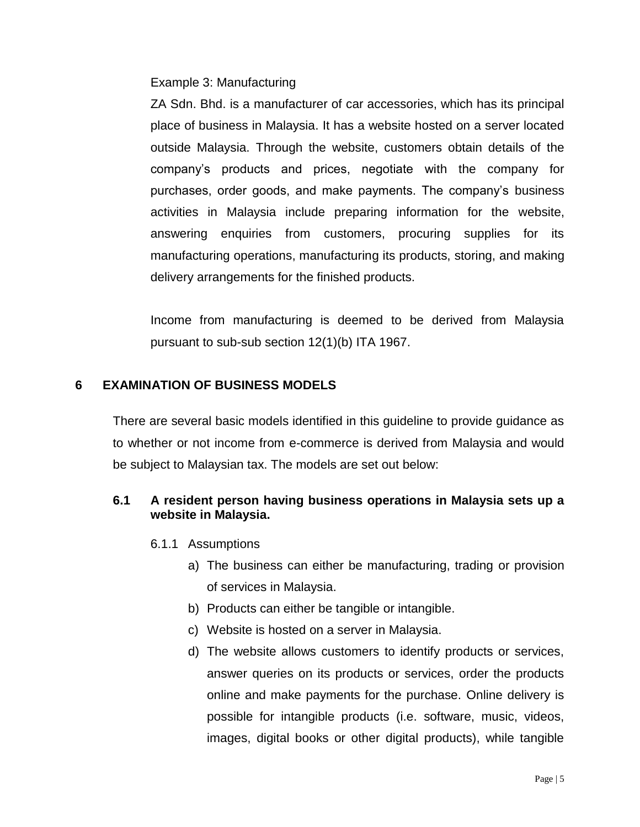Example 3: Manufacturing

ZA Sdn. Bhd. is a manufacturer of car accessories, which has its principal place of business in Malaysia. It has a website hosted on a server located outside Malaysia. Through the website, customers obtain details of the company's products and prices, negotiate with the company for purchases, order goods, and make payments. The company's business activities in Malaysia include preparing information for the website, answering enquiries from customers, procuring supplies for its manufacturing operations, manufacturing its products, storing, and making delivery arrangements for the finished products.

Income from manufacturing is deemed to be derived from Malaysia pursuant to sub-sub section 12(1)(b) ITA 1967.

# **6 EXAMINATION OF BUSINESS MODELS**

There are several basic models identified in this guideline to provide guidance as to whether or not income from e-commerce is derived from Malaysia and would be subject to Malaysian tax. The models are set out below:

# **6.1 A resident person having business operations in Malaysia sets up a website in Malaysia.**

- 6.1.1 Assumptions
	- a) The business can either be manufacturing, trading or provision of services in Malaysia.
	- b) Products can either be tangible or intangible.
	- c) Website is hosted on a server in Malaysia.
	- d) The website allows customers to identify products or services, answer queries on its products or services, order the products online and make payments for the purchase. Online delivery is possible for intangible products (i.e. software, music, videos, images, digital books or other digital products), while tangible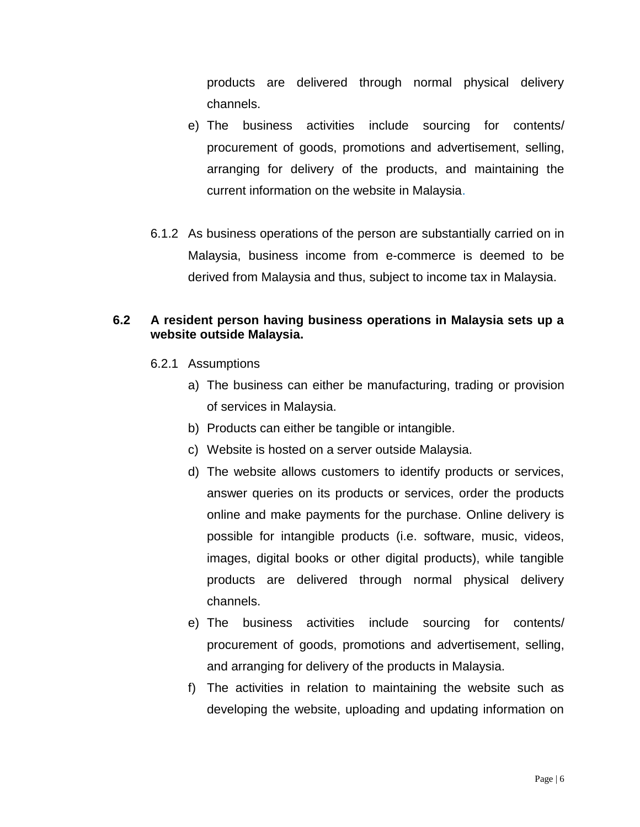products are delivered through normal physical delivery channels.

- e) The business activities include sourcing for contents/ procurement of goods, promotions and advertisement, selling, arranging for delivery of the products, and maintaining the current information on the website in Malaysia.
- 6.1.2 As business operations of the person are substantially carried on in Malaysia, business income from e-commerce is deemed to be derived from Malaysia and thus, subject to income tax in Malaysia.

# **6.2 A resident person having business operations in Malaysia sets up a website outside Malaysia.**

- 6.2.1 Assumptions
	- a) The business can either be manufacturing, trading or provision of services in Malaysia.
	- b) Products can either be tangible or intangible.
	- c) Website is hosted on a server outside Malaysia.
	- d) The website allows customers to identify products or services, answer queries on its products or services, order the products online and make payments for the purchase. Online delivery is possible for intangible products (i.e. software, music, videos, images, digital books or other digital products), while tangible products are delivered through normal physical delivery channels.
	- e) The business activities include sourcing for contents/ procurement of goods, promotions and advertisement, selling, and arranging for delivery of the products in Malaysia.
	- f) The activities in relation to maintaining the website such as developing the website, uploading and updating information on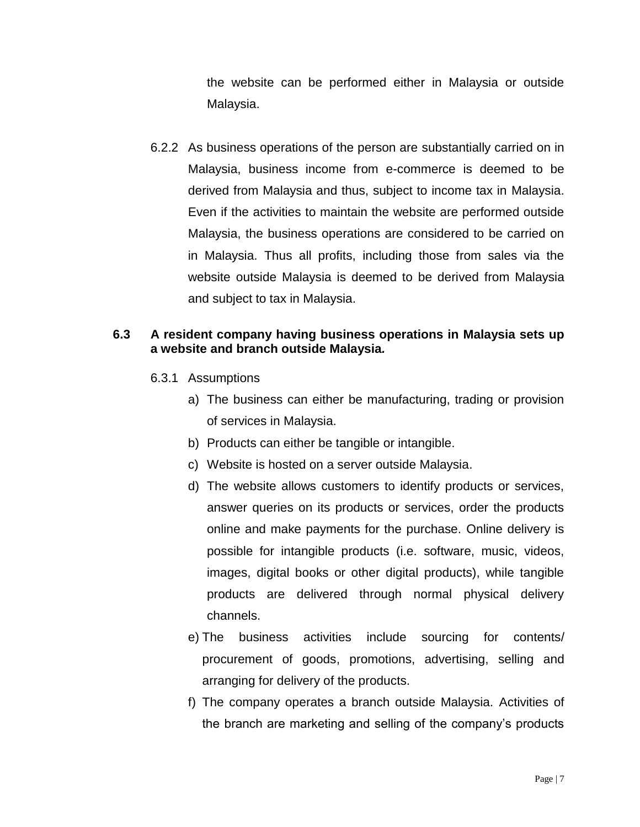the website can be performed either in Malaysia or outside Malaysia.

6.2.2 As business operations of the person are substantially carried on in Malaysia, business income from e-commerce is deemed to be derived from Malaysia and thus, subject to income tax in Malaysia. Even if the activities to maintain the website are performed outside Malaysia, the business operations are considered to be carried on in Malaysia. Thus all profits, including those from sales via the website outside Malaysia is deemed to be derived from Malaysia and subject to tax in Malaysia.

# **6.3 A resident company having business operations in Malaysia sets up a website and branch outside Malaysia***.*

- 6.3.1 Assumptions
	- a) The business can either be manufacturing, trading or provision of services in Malaysia.
	- b) Products can either be tangible or intangible.
	- c) Website is hosted on a server outside Malaysia.
	- d) The website allows customers to identify products or services, answer queries on its products or services, order the products online and make payments for the purchase. Online delivery is possible for intangible products (i.e. software, music, videos, images, digital books or other digital products), while tangible products are delivered through normal physical delivery channels.
	- e) The business activities include sourcing for contents/ procurement of goods, promotions, advertising, selling and arranging for delivery of the products.
	- f) The company operates a branch outside Malaysia*.* Activities of the branch are marketing and selling of the company's products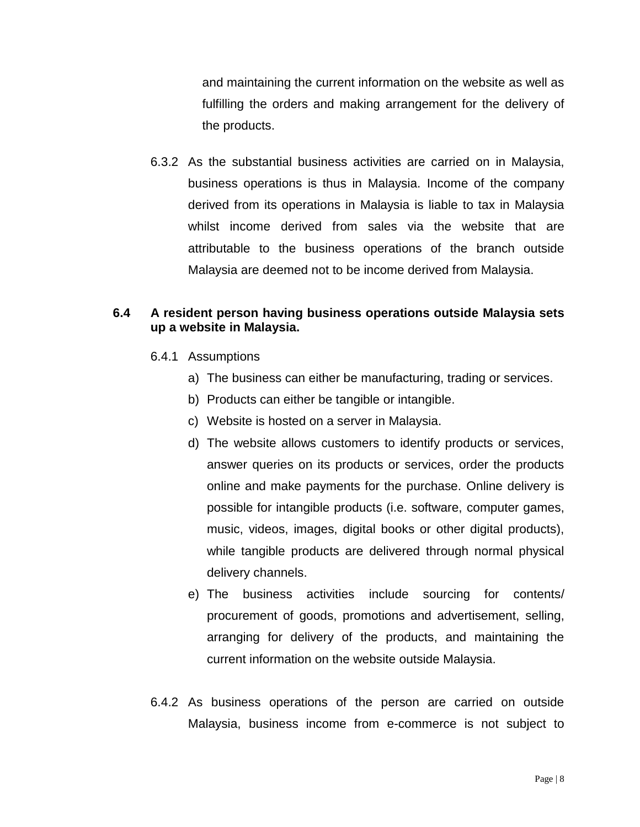and maintaining the current information on the website as well as fulfilling the orders and making arrangement for the delivery of the products.

6.3.2 As the substantial business activities are carried on in Malaysia, business operations is thus in Malaysia. Income of the company derived from its operations in Malaysia is liable to tax in Malaysia whilst income derived from sales via the website that are attributable to the business operations of the branch outside Malaysia are deemed not to be income derived from Malaysia.

# **6.4 A resident person having business operations outside Malaysia sets up a website in Malaysia.**

- 6.4.1 Assumptions
	- a) The business can either be manufacturing, trading or services.
	- b) Products can either be tangible or intangible.
	- c) Website is hosted on a server in Malaysia.
	- d) The website allows customers to identify products or services, answer queries on its products or services, order the products online and make payments for the purchase. Online delivery is possible for intangible products (i.e. software, computer games, music, videos, images, digital books or other digital products), while tangible products are delivered through normal physical delivery channels.
	- e) The business activities include sourcing for contents/ procurement of goods, promotions and advertisement, selling, arranging for delivery of the products, and maintaining the current information on the website outside Malaysia.
- 6.4.2 As business operations of the person are carried on outside Malaysia, business income from e-commerce is not subject to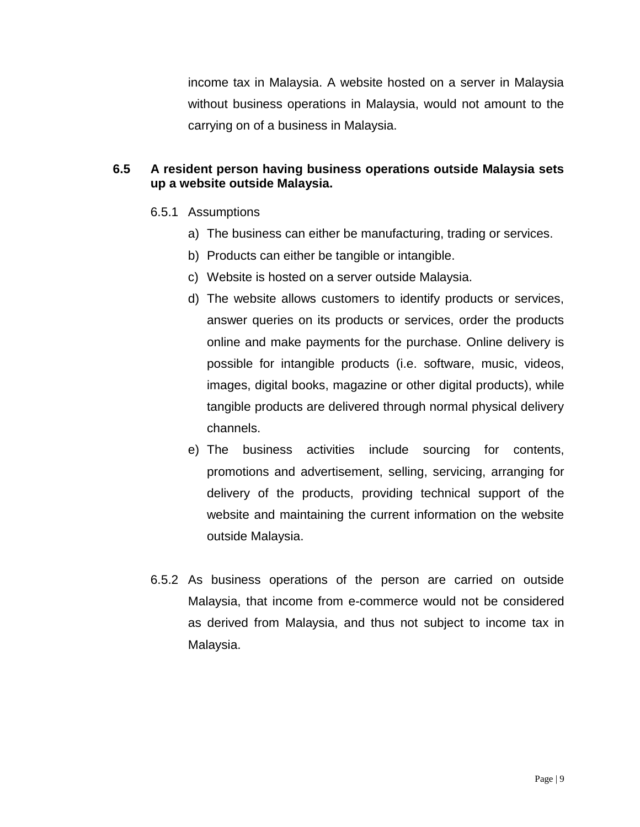income tax in Malaysia. A website hosted on a server in Malaysia without business operations in Malaysia, would not amount to the carrying on of a business in Malaysia.

# **6.5 A resident person having business operations outside Malaysia sets up a website outside Malaysia.**

- 6.5.1 Assumptions
	- a) The business can either be manufacturing, trading or services.
	- b) Products can either be tangible or intangible.
	- c) Website is hosted on a server outside Malaysia.
	- d) The website allows customers to identify products or services, answer queries on its products or services, order the products online and make payments for the purchase. Online delivery is possible for intangible products (i.e. software, music, videos, images, digital books, magazine or other digital products), while tangible products are delivered through normal physical delivery channels.
	- e) The business activities include sourcing for contents, promotions and advertisement, selling, servicing, arranging for delivery of the products, providing technical support of the website and maintaining the current information on the website outside Malaysia.
- 6.5.2 As business operations of the person are carried on outside Malaysia, that income from e-commerce would not be considered as derived from Malaysia, and thus not subject to income tax in Malaysia.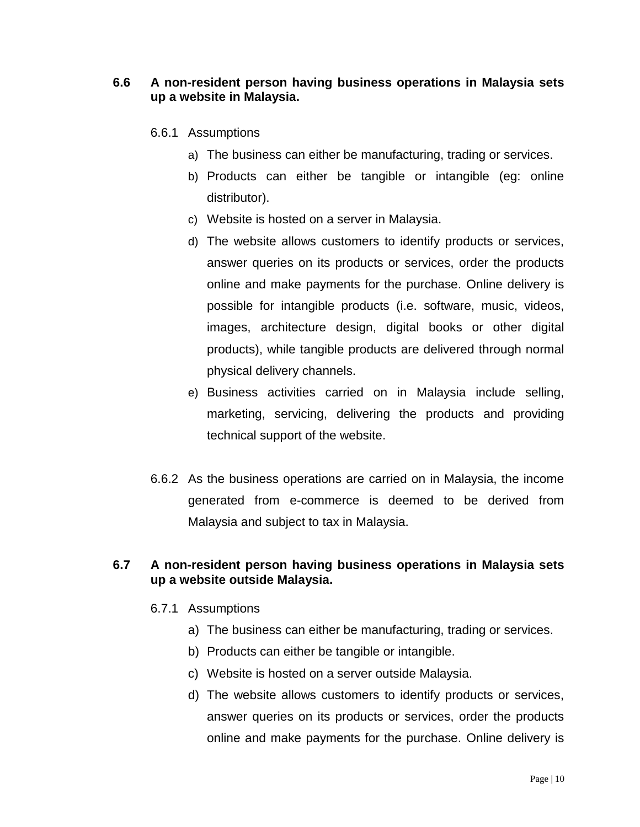# **6.6 A non-resident person having business operations in Malaysia sets up a website in Malaysia.**

- 6.6.1 Assumptions
	- a) The business can either be manufacturing, trading or services.
	- b) Products can either be tangible or intangible (eg: online distributor).
	- c) Website is hosted on a server in Malaysia.
	- d) The website allows customers to identify products or services, answer queries on its products or services, order the products online and make payments for the purchase. Online delivery is possible for intangible products (i.e. software, music, videos, images, architecture design, digital books or other digital products), while tangible products are delivered through normal physical delivery channels.
	- e) Business activities carried on in Malaysia include selling, marketing, servicing, delivering the products and providing technical support of the website.
- 6.6.2 As the business operations are carried on in Malaysia, the income generated from e-commerce is deemed to be derived from Malaysia and subject to tax in Malaysia.

# **6.7 A non-resident person having business operations in Malaysia sets up a website outside Malaysia.**

### 6.7.1 Assumptions

- a) The business can either be manufacturing, trading or services.
- b) Products can either be tangible or intangible.
- c) Website is hosted on a server outside Malaysia.
- d) The website allows customers to identify products or services, answer queries on its products or services, order the products online and make payments for the purchase. Online delivery is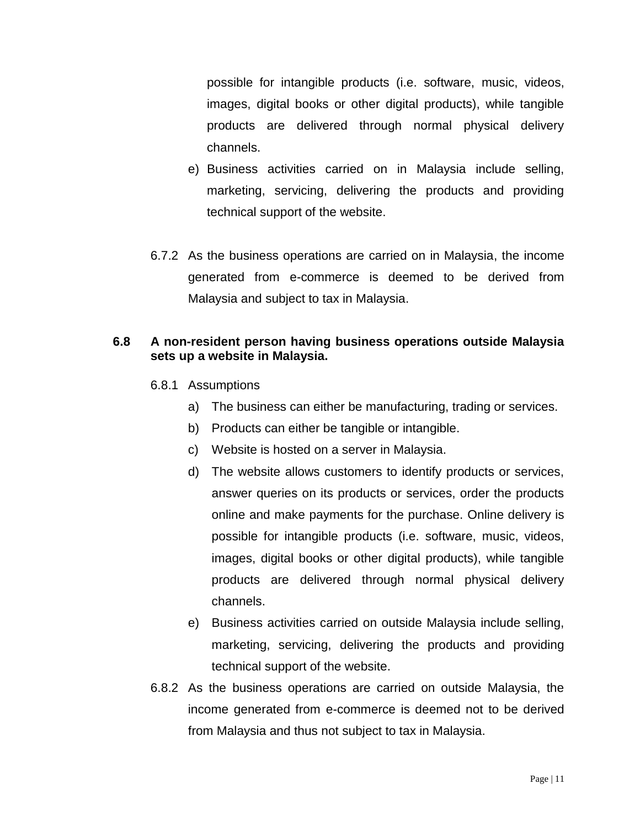possible for intangible products (i.e. software, music, videos, images, digital books or other digital products), while tangible products are delivered through normal physical delivery channels.

- e) Business activities carried on in Malaysia include selling, marketing, servicing, delivering the products and providing technical support of the website.
- 6.7.2 As the business operations are carried on in Malaysia, the income generated from e-commerce is deemed to be derived from Malaysia and subject to tax in Malaysia.

# **6.8 A non-resident person having business operations outside Malaysia sets up a website in Malaysia.**

- 6.8.1 Assumptions
	- a) The business can either be manufacturing, trading or services.
	- b) Products can either be tangible or intangible.
	- c) Website is hosted on a server in Malaysia.
	- d) The website allows customers to identify products or services, answer queries on its products or services, order the products online and make payments for the purchase. Online delivery is possible for intangible products (i.e. software, music, videos, images, digital books or other digital products), while tangible products are delivered through normal physical delivery channels.
	- e) Business activities carried on outside Malaysia include selling, marketing, servicing, delivering the products and providing technical support of the website.
- 6.8.2 As the business operations are carried on outside Malaysia, the income generated from e-commerce is deemed not to be derived from Malaysia and thus not subject to tax in Malaysia.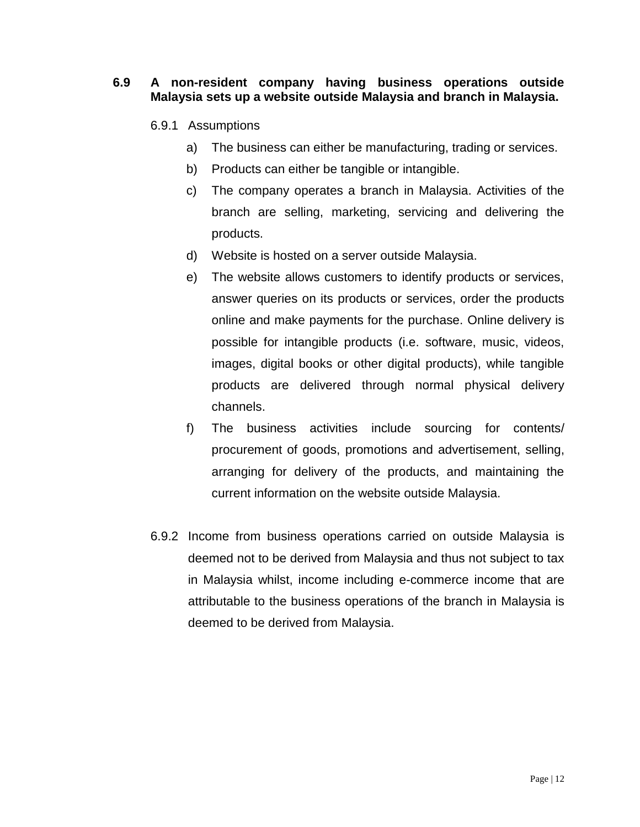#### **6.9 A non-resident company having business operations outside Malaysia sets up a website outside Malaysia and branch in Malaysia.**

### 6.9.1 Assumptions

- a) The business can either be manufacturing, trading or services.
- b) Products can either be tangible or intangible.
- c) The company operates a branch in Malaysia. Activities of the branch are selling, marketing, servicing and delivering the products.
- d) Website is hosted on a server outside Malaysia.
- e) The website allows customers to identify products or services, answer queries on its products or services, order the products online and make payments for the purchase. Online delivery is possible for intangible products (i.e. software, music, videos, images, digital books or other digital products), while tangible products are delivered through normal physical delivery channels.
- f) The business activities include sourcing for contents/ procurement of goods, promotions and advertisement, selling, arranging for delivery of the products, and maintaining the current information on the website outside Malaysia.
- 6.9.2 Income from business operations carried on outside Malaysia is deemed not to be derived from Malaysia and thus not subject to tax in Malaysia whilst, income including e-commerce income that are attributable to the business operations of the branch in Malaysia is deemed to be derived from Malaysia.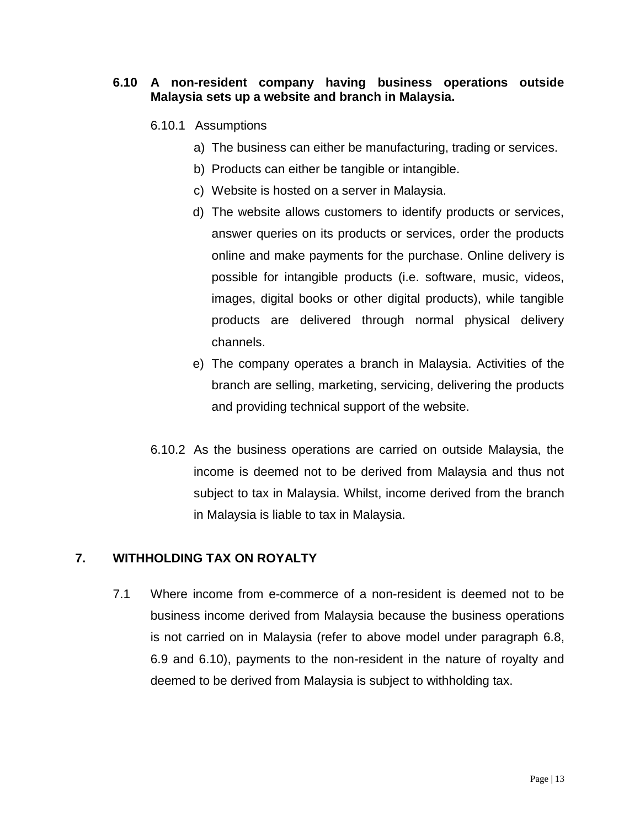#### **6.10 A non-resident company having business operations outside Malaysia sets up a website and branch in Malaysia.**

### 6.10.1 Assumptions

- a) The business can either be manufacturing, trading or services.
- b) Products can either be tangible or intangible.
- c) Website is hosted on a server in Malaysia.
- d) The website allows customers to identify products or services, answer queries on its products or services, order the products online and make payments for the purchase. Online delivery is possible for intangible products (i.e. software, music, videos, images, digital books or other digital products), while tangible products are delivered through normal physical delivery channels.
- e) The company operates a branch in Malaysia. Activities of the branch are selling, marketing, servicing, delivering the products and providing technical support of the website.
- 6.10.2 As the business operations are carried on outside Malaysia, the income is deemed not to be derived from Malaysia and thus not subject to tax in Malaysia. Whilst, income derived from the branch in Malaysia is liable to tax in Malaysia.

# **7. WITHHOLDING TAX ON ROYALTY**

7.1 Where income from e-commerce of a non-resident is deemed not to be business income derived from Malaysia because the business operations is not carried on in Malaysia (refer to above model under paragraph 6.8, 6.9 and 6.10), payments to the non-resident in the nature of royalty and deemed to be derived from Malaysia is subject to withholding tax.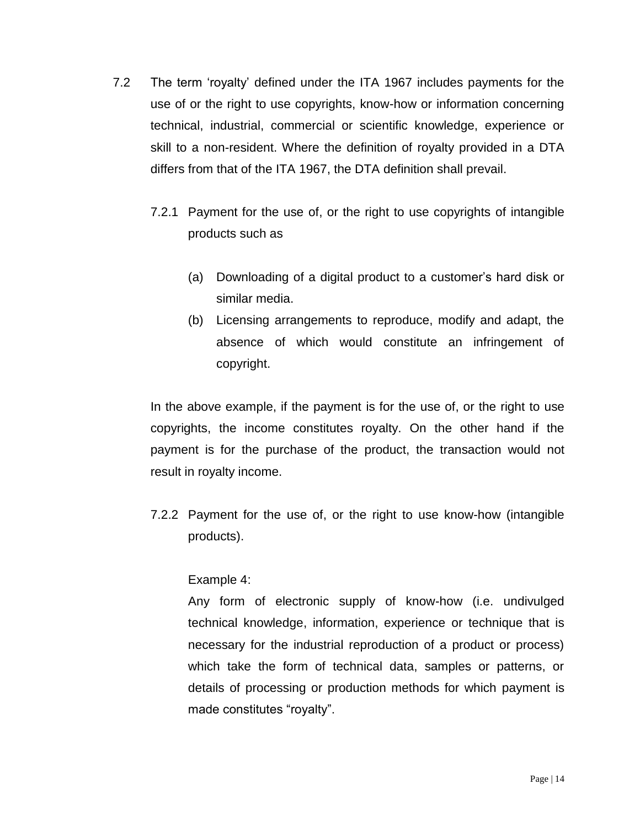- 7.2 The term 'royalty' defined under the ITA 1967 includes payments for the use of or the right to use copyrights, know-how or information concerning technical, industrial, commercial or scientific knowledge, experience or skill to a non-resident. Where the definition of royalty provided in a DTA differs from that of the ITA 1967, the DTA definition shall prevail.
	- 7.2.1 Payment for the use of, or the right to use copyrights of intangible products such as
		- (a) Downloading of a digital product to a customer's hard disk or similar media.
		- (b) Licensing arrangements to reproduce, modify and adapt, the absence of which would constitute an infringement of copyright.

In the above example, if the payment is for the use of, or the right to use copyrights, the income constitutes royalty. On the other hand if the payment is for the purchase of the product, the transaction would not result in royalty income.

7.2.2 Payment for the use of, or the right to use know-how (intangible products).

# Example 4:

Any form of electronic supply of know-how (i.e. undivulged technical knowledge, information, experience or technique that is necessary for the industrial reproduction of a product or process) which take the form of technical data, samples or patterns, or details of processing or production methods for which payment is made constitutes "royalty".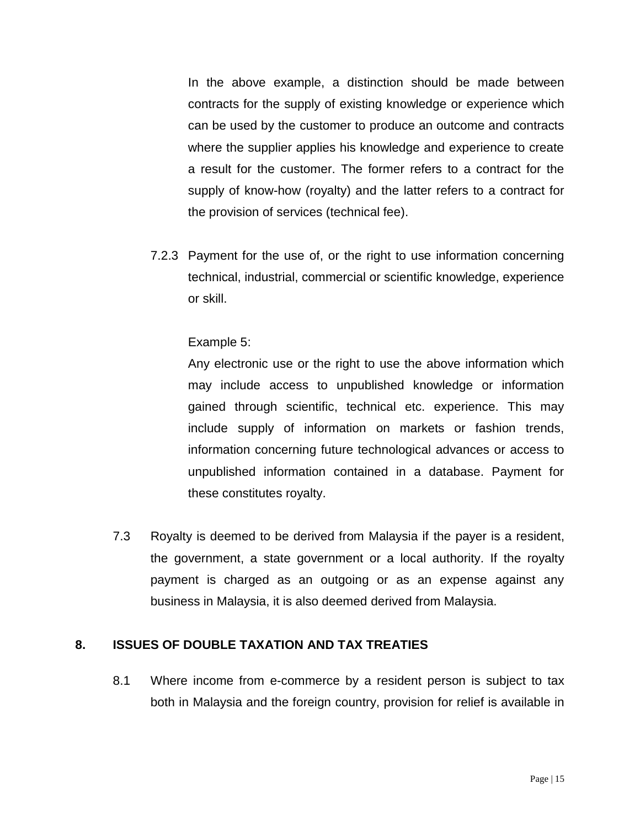In the above example, a distinction should be made between contracts for the supply of existing knowledge or experience which can be used by the customer to produce an outcome and contracts where the supplier applies his knowledge and experience to create a result for the customer. The former refers to a contract for the supply of know-how (royalty) and the latter refers to a contract for the provision of services (technical fee).

7.2.3 Payment for the use of, or the right to use information concerning technical, industrial, commercial or scientific knowledge, experience or skill.

Example 5:

Any electronic use or the right to use the above information which may include access to unpublished knowledge or information gained through scientific, technical etc. experience. This may include supply of information on markets or fashion trends, information concerning future technological advances or access to unpublished information contained in a database. Payment for these constitutes royalty.

7.3 Royalty is deemed to be derived from Malaysia if the payer is a resident, the government, a state government or a local authority. If the royalty payment is charged as an outgoing or as an expense against any business in Malaysia, it is also deemed derived from Malaysia.

# **8. ISSUES OF DOUBLE TAXATION AND TAX TREATIES**

8.1 Where income from e-commerce by a resident person is subject to tax both in Malaysia and the foreign country, provision for relief is available in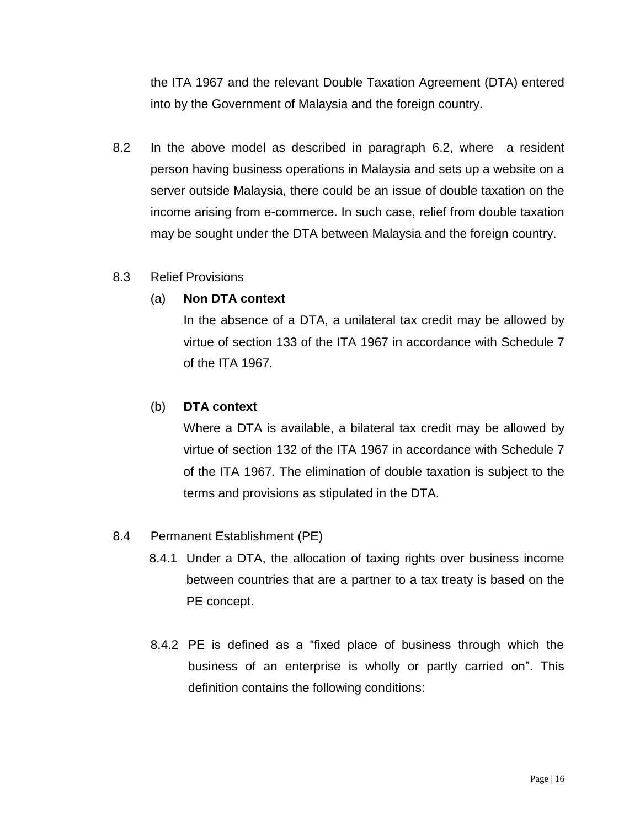the ITA 1967 and the relevant Double Taxation Agreement (DTA) entered into by the Government of Malaysia and the foreign country.

8.2 In the above model as described in paragraph 6.2, where a resident person having business operations in Malaysia and sets up a website on a server outside Malaysia, there could be an issue of double taxation on the income arising from e-commerce. In such case, relief from double taxation may be sought under the DTA between Malaysia and the foreign country.

### 8.3 Relief Provisions

### (a) **Non DTA context**

In the absence of a DTA, a unilateral tax credit may be allowed by virtue of section 133 of the ITA 1967 in accordance with Schedule 7 of the ITA 1967*.*

# (b) **DTA context**

Where a DTA is available, a bilateral tax credit may be allowed by virtue of section 132 of the ITA 1967 in accordance with Schedule 7 of the ITA 1967*.* The elimination of double taxation is subject to the terms and provisions as stipulated in the DTA.

### 8.4 Permanent Establishment (PE)

- 8.4.1 Under a DTA, the allocation of taxing rights over business income between countries that are a partner to a tax treaty is based on the PE concept.
- 8.4.2 PE is defined as a "fixed place of business through which the business of an enterprise is wholly or partly carried on". This definition contains the following conditions: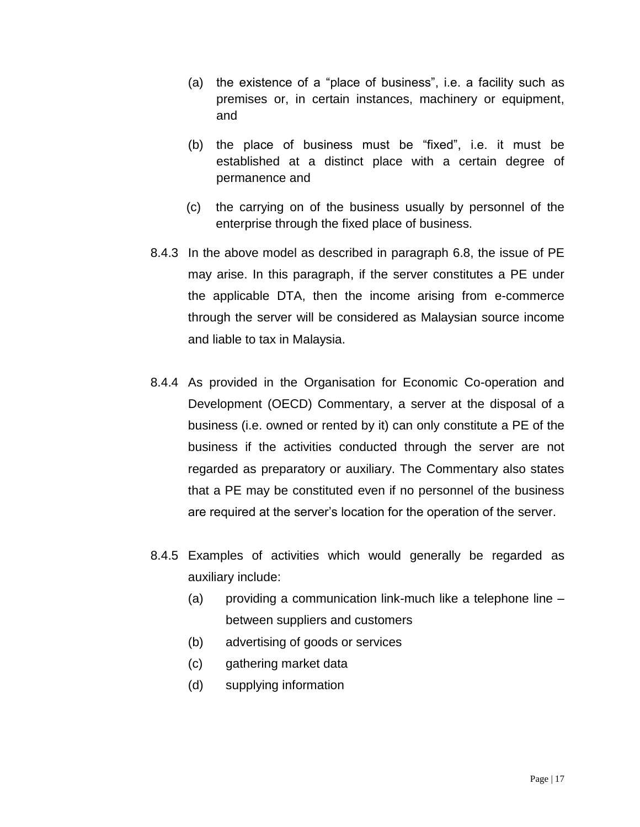- (a) the existence of a "place of business", i.e. a facility such as premises or, in certain instances, machinery or equipment, and
- (b) the place of business must be "fixed", i.e. it must be established at a distinct place with a certain degree of permanence and
- (c) the carrying on of the business usually by personnel of the enterprise through the fixed place of business.
- 8.4.3 In the above model as described in paragraph 6.8, the issue of PE may arise. In this paragraph, if the server constitutes a PE under the applicable DTA, then the income arising from e-commerce through the server will be considered as Malaysian source income and liable to tax in Malaysia.
- 8.4.4 As provided in the Organisation for Economic Co-operation and Development (OECD) Commentary, a server at the disposal of a business (i.e. owned or rented by it) can only constitute a PE of the business if the activities conducted through the server are not regarded as preparatory or auxiliary. The Commentary also states that a PE may be constituted even if no personnel of the business are required at the server's location for the operation of the server.
- 8.4.5 Examples of activities which would generally be regarded as auxiliary include:
	- (a) providing a communication link-much like a telephone line between suppliers and customers
	- (b) advertising of goods or services
	- (c) gathering market data
	- (d) supplying information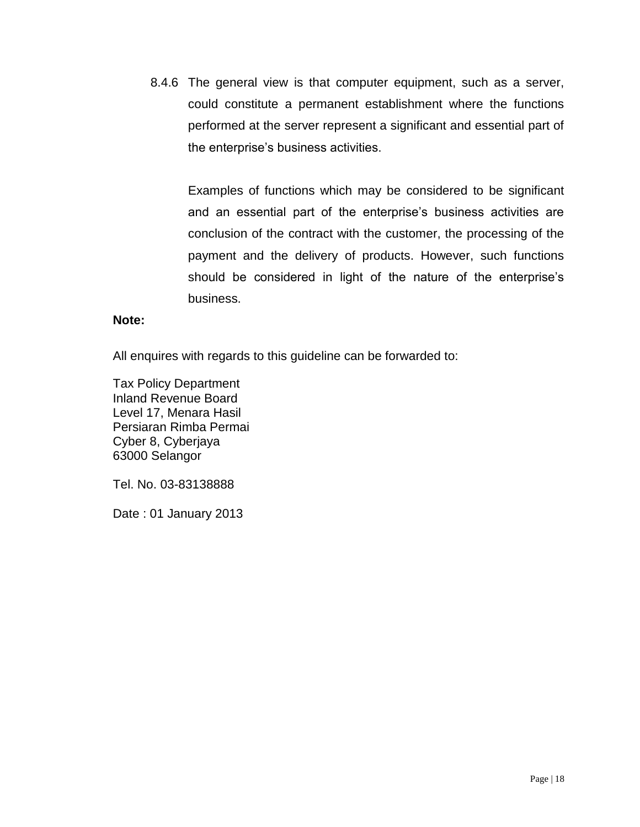8.4.6 The general view is that computer equipment, such as a server, could constitute a permanent establishment where the functions performed at the server represent a significant and essential part of the enterprise's business activities.

Examples of functions which may be considered to be significant and an essential part of the enterprise's business activities are conclusion of the contract with the customer, the processing of the payment and the delivery of products. However, such functions should be considered in light of the nature of the enterprise's business.

#### **Note:**

All enquires with regards to this guideline can be forwarded to:

Tax Policy Department Inland Revenue Board Level 17, Menara Hasil Persiaran Rimba Permai Cyber 8, Cyberjaya 63000 Selangor

Tel. No. 03-83138888

Date : 01 January 2013